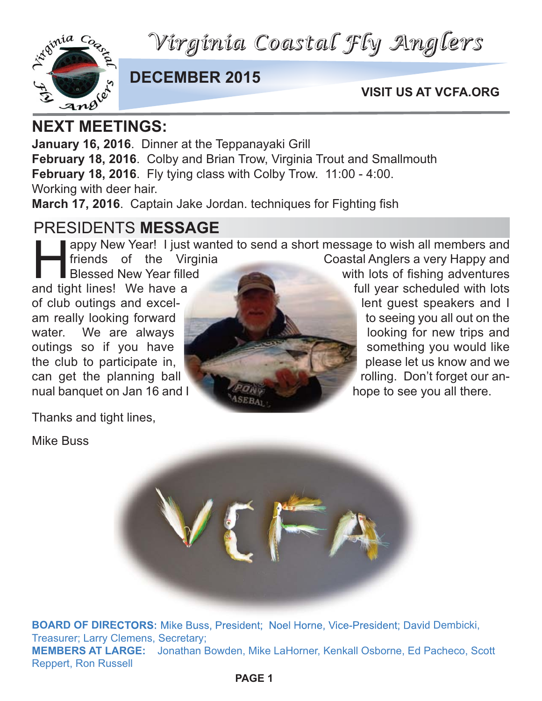*Virginia Coastal Fly Anglers*



#### **DECEMBER 2015**

**VISIT US AT VCFA.ORG**

**January 16, 2016**. Dinner at the Teppanayaki Grill **February 18, 2016**. Colby and Brian Trow, Virginia Trout and Smallmouth **February 18, 2016**. Fly tying class with Colby Trow. 11:00 - 4:00. Working with deer hair. **March 17, 2016**. Captain Jake Jordan. techniques for Fighting fish

### PRESIDENTS **MESSAGE**

appy New Year! I just wanted to send a short message to wish all members and<br>friends of the Virginia Coastal Anglers a very Happy and<br>Blessed New Year filled with lots of fishing adventures<br>and lines! We have a full vear s

and tight lines! We have a

Thanks and tight lines,

Mike Buss



Coastal Anglers a very Happy and with lots of fishing adventures



**BOARD OF DIRECTORS:** Mike Buss, President; Noel Horne, Vice-President; David Dembicki, Treasurer; Larry Clemens, Secretary; **MEMBERS AT LARGE:** Jonathan Bowden, Mike LaHorner, Kenkall Osborne, Ed Pacheco, Scott Reppert, Ron Russell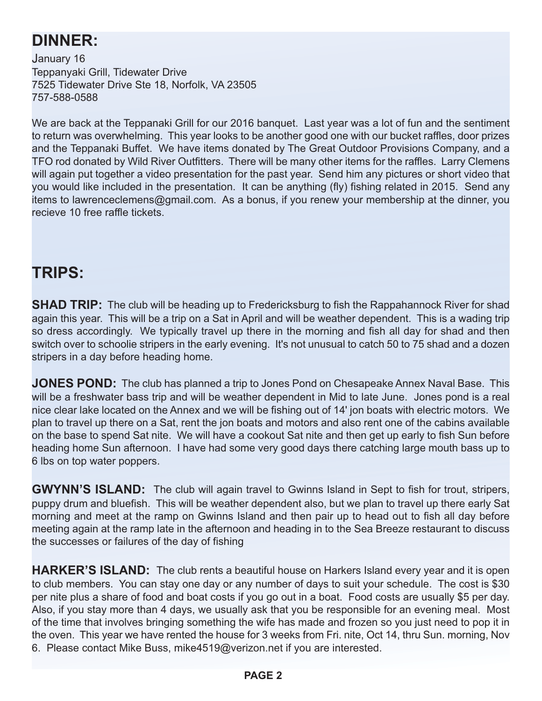# **DINNER:**

January 16 Teppanyaki Grill, Tidewater Drive 7525 Tidewater Drive Ste 18, Norfolk, VA 23505 757-588-0588

We are back at the Teppanaki Grill for our 2016 banquet. Last year was a lot of fun and the sentiment to return was overwhelming. This year looks to be another good one with our bucket raffles, door prizes and the Teppanaki Buffet. We have items donated by The Great Outdoor Provisions Company, and a TFO rod donated by Wild River Outfitters. There will be many other items for the raffles. Larry Clemens will again put together a video presentation for the past year. Send him any pictures or short video that you would like included in the presentation. It can be anything (fly) fishing related in 2015. Send any items to lawrenceclemens@gmail.com. As a bonus, if you renew your membership at the dinner, you recieve 10 free raffle tickets.

### **TRIPS:**

**SHAD TRIP:** The club will be heading up to Fredericksburg to fish the Rappahannock River for shad again this year. This will be a trip on a Sat in April and will be weather dependent. This is a wading trip so dress accordingly. We typically travel up there in the morning and fish all day for shad and then switch over to schoolie stripers in the early evening. It's not unusual to catch 50 to 75 shad and a dozen stripers in a day before heading home.

**JONES POND:** The club has planned a trip to Jones Pond on Chesapeake Annex Naval Base. This will be a freshwater bass trip and will be weather dependent in Mid to late June. Jones pond is a real nice clear lake located on the Annex and we will be fishing out of 14' jon boats with electric motors. We plan to travel up there on a Sat, rent the jon boats and motors and also rent one of the cabins available on the base to spend Sat nite. We will have a cookout Sat nite and then get up early to fish Sun before heading home Sun afternoon. I have had some very good days there catching large mouth bass up to 6 lbs on top water poppers.

**GWYNN'S ISLAND:** The club will again travel to Gwinns Island in Sept to fish for trout, stripers, puppy drum and bluefish. This will be weather dependent also, but we plan to travel up there early Sat morning and meet at the ramp on Gwinns Island and then pair up to head out to fish all day before meeting again at the ramp late in the afternoon and heading in to the Sea Breeze restaurant to discuss the successes or failures of the day of fishing

**HARKER'S ISLAND:** The club rents a beautiful house on Harkers Island every year and it is open to club members. You can stay one day or any number of days to suit your schedule. The cost is \$30 per nite plus a share of food and boat costs if you go out in a boat. Food costs are usually \$5 per day. Also, if you stay more than 4 days, we usually ask that you be responsible for an evening meal. Most of the time that involves bringing something the wife has made and frozen so you just need to pop it in the oven. This year we have rented the house for 3 weeks from Fri. nite, Oct 14, thru Sun. morning, Nov 6. Please contact Mike Buss, mike4519@verizon.net if you are interested.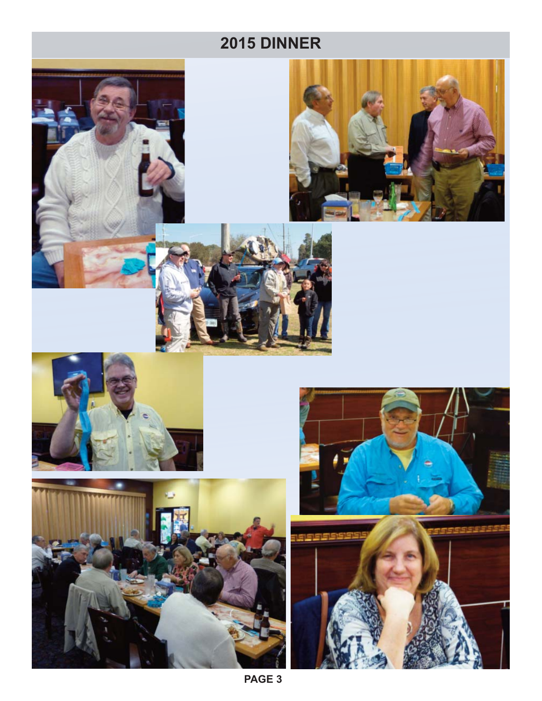# **2015 DINNER**











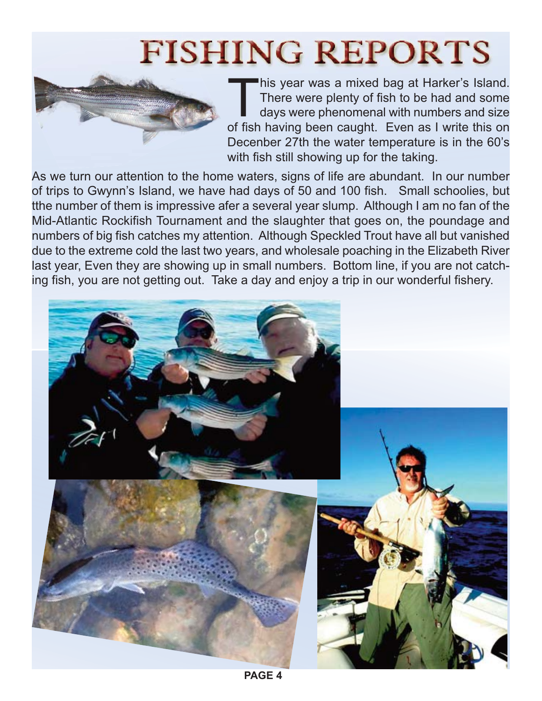# **FISHING REPORTS**



This year was a mixed bag at Harker's Island.<br>There were plenty of fish to be had and some days were phenomenal with numbers and size<br>of fish having been caught. Even as Lwrite this on There were plenty of fish to be had and some days were phenomenal with numbers and size of fish having been caught. Even as I write this on Decenber 27th the water temperature is in the 60's with fish still showing up for the taking.

As we turn our attention to the home waters, signs of life are abundant. In our number of trips to Gwynn's Island, we have had days of 50 and 100 fish. Small schoolies, but tthe number of them is impressive afer a several year slump. Although I am no fan of the Mid-Atlantic Rockifish Tournament and the slaughter that goes on, the poundage and numbers of big fish catches my attention. Although Speckled Trout have all but vanished due to the extreme cold the last two years, and wholesale poaching in the Elizabeth River last year, Even they are showing up in small numbers. Bottom line, if you are not catching fish, you are not getting out. Take a day and enjoy a trip in our wonderful fishery.

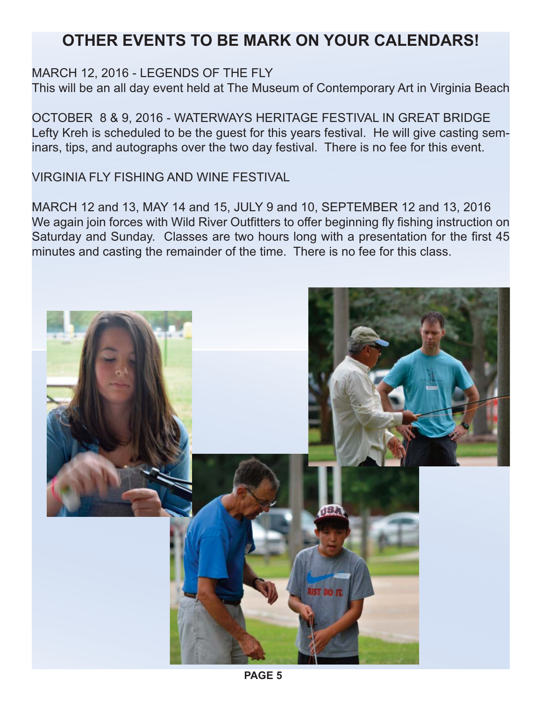## **OTHER EVENTS TO BE MARK ON YOUR CALENDARS!**

#### MARCH 12, 2016 - LEGENDS OF THE FLY

This will be an all day event held at The Museum of Contemporary Art in Virginia Beach

OCTOBER 8 & 9, 2016 - WATERWAYS HERITAGE FESTIVAL IN GREAT BRIDGE Lefty Kreh is scheduled to be the guest for this years festival. He will give casting seminars, tips, and autographs over the two day festival. There is no fee for this event.

VIRGINIA FLY FISHING AND WINE FESTIVAL

MARCH 12 and 13, MAY 14 and 15, JULY 9 and 10, SEPTEMBER 12 and 13, 2016 We again join forces with Wild River Outfitters to offer beginning fly fishing instruction on Saturday and Sunday. Classes are two hours long with a presentation for the first 45 minutes and casting the remainder of the time. There is no fee for this class.